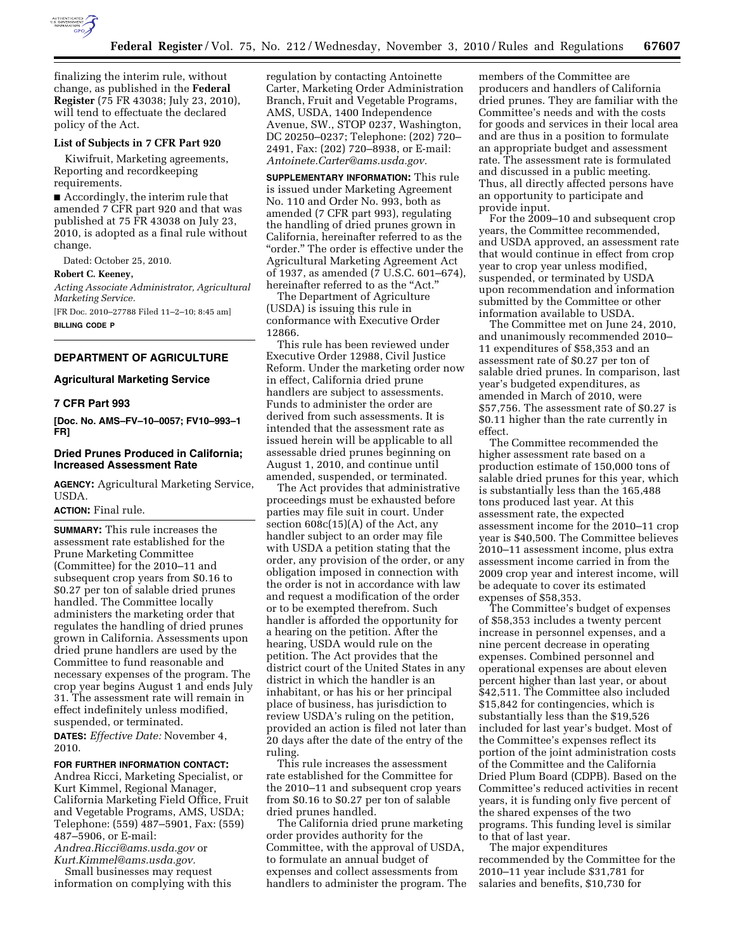

finalizing the interim rule, without change, as published in the **Federal Register** (75 FR 43038; July 23, 2010), will tend to effectuate the declared policy of the Act.

## **List of Subjects in 7 CFR Part 920**

Kiwifruit, Marketing agreements, Reporting and recordkeeping requirements.

■ Accordingly, the interim rule that amended 7 CFR part 920 and that was published at 75 FR 43038 on July 23, 2010, is adopted as a final rule without change.

Dated: October 25, 2010.

#### **Robert C. Keeney,**

*Acting Associate Administrator, Agricultural Marketing Service.* 

[FR Doc. 2010–27788 Filed 11–2–10; 8:45 am] **BILLING CODE P** 

# **DEPARTMENT OF AGRICULTURE**

# **Agricultural Marketing Service**

# **7 CFR Part 993**

**[Doc. No. AMS–FV–10–0057; FV10–993–1 FR]** 

# **Dried Prunes Produced in California; Increased Assessment Rate**

**AGENCY:** Agricultural Marketing Service, USDA.

# **ACTION:** Final rule.

**SUMMARY:** This rule increases the assessment rate established for the Prune Marketing Committee (Committee) for the 2010–11 and subsequent crop years from \$0.16 to \$0.27 per ton of salable dried prunes handled. The Committee locally administers the marketing order that regulates the handling of dried prunes grown in California. Assessments upon dried prune handlers are used by the Committee to fund reasonable and necessary expenses of the program. The crop year begins August 1 and ends July 31. The assessment rate will remain in effect indefinitely unless modified, suspended, or terminated.

**DATES:** *Effective Date:* November 4, 2010.

# **FOR FURTHER INFORMATION CONTACT:**

Andrea Ricci, Marketing Specialist, or Kurt Kimmel, Regional Manager, California Marketing Field Office, Fruit and Vegetable Programs, AMS, USDA; Telephone: (559) 487–5901, Fax: (559) 487–5906, or E-mail:

*[Andrea.Ricci@ams.usda.gov](mailto:Andrea.Ricci@ams.usda.gov)* or *[Kurt.Kimmel@ams.usda.gov.](mailto:Kurt.Kimmel@ams.usda.gov)* 

Small businesses may request information on complying with this regulation by contacting Antoinette Carter, Marketing Order Administration Branch, Fruit and Vegetable Programs, AMS, USDA, 1400 Independence Avenue, SW., STOP 0237, Washington, DC 20250–0237; Telephone: (202) 720– 2491, Fax: (202) 720–8938, or E-mail: *[Antoinete.Carter@ams.usda.gov.](mailto:Antoinete.Carter@ams.usda.gov)* 

**SUPPLEMENTARY INFORMATION:** This rule is issued under Marketing Agreement No. 110 and Order No. 993, both as amended (7 CFR part 993), regulating the handling of dried prunes grown in California, hereinafter referred to as the "order." The order is effective under the Agricultural Marketing Agreement Act of 1937, as amended (7 U.S.C. 601–674), hereinafter referred to as the "Act."

The Department of Agriculture (USDA) is issuing this rule in conformance with Executive Order 12866.

This rule has been reviewed under Executive Order 12988, Civil Justice Reform. Under the marketing order now in effect, California dried prune handlers are subject to assessments. Funds to administer the order are derived from such assessments. It is intended that the assessment rate as issued herein will be applicable to all assessable dried prunes beginning on August 1, 2010, and continue until amended, suspended, or terminated.

The Act provides that administrative proceedings must be exhausted before parties may file suit in court. Under section 608c(15)(A) of the Act, any handler subject to an order may file with USDA a petition stating that the order, any provision of the order, or any obligation imposed in connection with the order is not in accordance with law and request a modification of the order or to be exempted therefrom. Such handler is afforded the opportunity for a hearing on the petition. After the hearing, USDA would rule on the petition. The Act provides that the district court of the United States in any district in which the handler is an inhabitant, or has his or her principal place of business, has jurisdiction to review USDA's ruling on the petition, provided an action is filed not later than 20 days after the date of the entry of the ruling.

This rule increases the assessment rate established for the Committee for the 2010–11 and subsequent crop years from \$0.16 to \$0.27 per ton of salable dried prunes handled.

The California dried prune marketing order provides authority for the Committee, with the approval of USDA, to formulate an annual budget of expenses and collect assessments from handlers to administer the program. The

members of the Committee are producers and handlers of California dried prunes. They are familiar with the Committee's needs and with the costs for goods and services in their local area and are thus in a position to formulate an appropriate budget and assessment rate. The assessment rate is formulated and discussed in a public meeting. Thus, all directly affected persons have an opportunity to participate and provide input.

For the 2009–10 and subsequent crop years, the Committee recommended, and USDA approved, an assessment rate that would continue in effect from crop year to crop year unless modified, suspended, or terminated by USDA upon recommendation and information submitted by the Committee or other information available to USDA.

The Committee met on June 24, 2010, and unanimously recommended 2010– 11 expenditures of \$58,353 and an assessment rate of \$0.27 per ton of salable dried prunes. In comparison, last year's budgeted expenditures, as amended in March of 2010, were \$57,756. The assessment rate of \$0.27 is \$0.11 higher than the rate currently in effect.

The Committee recommended the higher assessment rate based on a production estimate of 150,000 tons of salable dried prunes for this year, which is substantially less than the 165,488 tons produced last year. At this assessment rate, the expected assessment income for the 2010–11 crop year is \$40,500. The Committee believes 2010–11 assessment income, plus extra assessment income carried in from the 2009 crop year and interest income, will be adequate to cover its estimated expenses of \$58,353.

The Committee's budget of expenses of \$58,353 includes a twenty percent increase in personnel expenses, and a nine percent decrease in operating expenses. Combined personnel and operational expenses are about eleven percent higher than last year, or about \$42,511. The Committee also included \$15,842 for contingencies, which is substantially less than the \$19,526 included for last year's budget. Most of the Committee's expenses reflect its portion of the joint administration costs of the Committee and the California Dried Plum Board (CDPB). Based on the Committee's reduced activities in recent years, it is funding only five percent of the shared expenses of the two programs. This funding level is similar to that of last year.

The major expenditures recommended by the Committee for the 2010–11 year include \$31,781 for salaries and benefits, \$10,730 for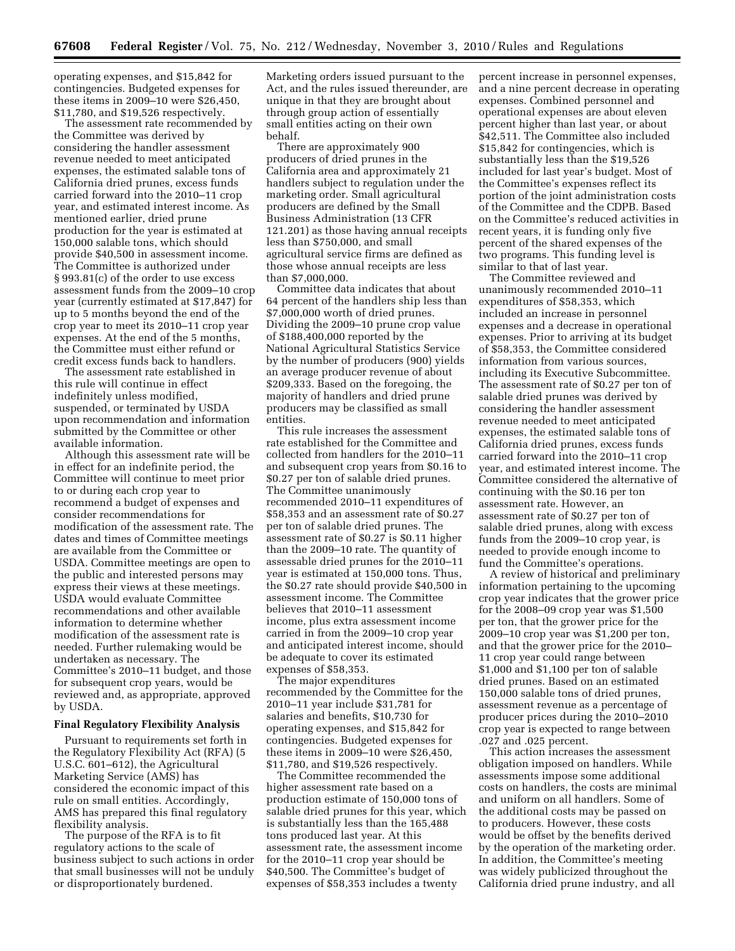operating expenses, and \$15,842 for contingencies. Budgeted expenses for these items in 2009–10 were \$26,450, \$11,780, and \$19,526 respectively.

The assessment rate recommended by the Committee was derived by considering the handler assessment revenue needed to meet anticipated expenses, the estimated salable tons of California dried prunes, excess funds carried forward into the 2010–11 crop year, and estimated interest income. As mentioned earlier, dried prune production for the year is estimated at 150,000 salable tons, which should provide \$40,500 in assessment income. The Committee is authorized under § 993.81(c) of the order to use excess assessment funds from the 2009–10 crop year (currently estimated at \$17,847) for up to 5 months beyond the end of the crop year to meet its 2010–11 crop year expenses. At the end of the 5 months, the Committee must either refund or credit excess funds back to handlers.

The assessment rate established in this rule will continue in effect indefinitely unless modified, suspended, or terminated by USDA upon recommendation and information submitted by the Committee or other available information.

Although this assessment rate will be in effect for an indefinite period, the Committee will continue to meet prior to or during each crop year to recommend a budget of expenses and consider recommendations for modification of the assessment rate. The dates and times of Committee meetings are available from the Committee or USDA. Committee meetings are open to the public and interested persons may express their views at these meetings. USDA would evaluate Committee recommendations and other available information to determine whether modification of the assessment rate is needed. Further rulemaking would be undertaken as necessary. The Committee's 2010–11 budget, and those for subsequent crop years, would be reviewed and, as appropriate, approved by USDA.

## **Final Regulatory Flexibility Analysis**

Pursuant to requirements set forth in the Regulatory Flexibility Act (RFA) (5 U.S.C. 601–612), the Agricultural Marketing Service (AMS) has considered the economic impact of this rule on small entities. Accordingly, AMS has prepared this final regulatory flexibility analysis.

The purpose of the RFA is to fit regulatory actions to the scale of business subject to such actions in order that small businesses will not be unduly or disproportionately burdened.

Marketing orders issued pursuant to the Act, and the rules issued thereunder, are unique in that they are brought about through group action of essentially small entities acting on their own behalf.

There are approximately 900 producers of dried prunes in the California area and approximately 21 handlers subject to regulation under the marketing order. Small agricultural producers are defined by the Small Business Administration (13 CFR 121.201) as those having annual receipts less than \$750,000, and small agricultural service firms are defined as those whose annual receipts are less than \$7,000,000.

Committee data indicates that about 64 percent of the handlers ship less than \$7,000,000 worth of dried prunes. Dividing the 2009–10 prune crop value of \$188,400,000 reported by the National Agricultural Statistics Service by the number of producers (900) yields an average producer revenue of about \$209,333. Based on the foregoing, the majority of handlers and dried prune producers may be classified as small entities.

This rule increases the assessment rate established for the Committee and collected from handlers for the 2010–11 and subsequent crop years from \$0.16 to \$0.27 per ton of salable dried prunes. The Committee unanimously recommended 2010–11 expenditures of \$58,353 and an assessment rate of \$0.27 per ton of salable dried prunes. The assessment rate of \$0.27 is \$0.11 higher than the 2009–10 rate. The quantity of assessable dried prunes for the 2010–11 year is estimated at 150,000 tons. Thus, the \$0.27 rate should provide \$40,500 in assessment income. The Committee believes that 2010–11 assessment income, plus extra assessment income carried in from the 2009–10 crop year and anticipated interest income, should be adequate to cover its estimated expenses of \$58,353.

The major expenditures recommended by the Committee for the 2010–11 year include \$31,781 for salaries and benefits, \$10,730 for operating expenses, and \$15,842 for contingencies. Budgeted expenses for these items in 2009–10 were \$26,450, \$11,780, and \$19,526 respectively.

The Committee recommended the higher assessment rate based on a production estimate of 150,000 tons of salable dried prunes for this year, which is substantially less than the 165,488 tons produced last year. At this assessment rate, the assessment income for the 2010–11 crop year should be \$40,500. The Committee's budget of expenses of \$58,353 includes a twenty

percent increase in personnel expenses, and a nine percent decrease in operating expenses. Combined personnel and operational expenses are about eleven percent higher than last year, or about \$42,511. The Committee also included \$15,842 for contingencies, which is substantially less than the \$19,526 included for last year's budget. Most of the Committee's expenses reflect its portion of the joint administration costs of the Committee and the CDPB. Based on the Committee's reduced activities in recent years, it is funding only five percent of the shared expenses of the two programs. This funding level is similar to that of last year.

The Committee reviewed and unanimously recommended 2010–11 expenditures of \$58,353, which included an increase in personnel expenses and a decrease in operational expenses. Prior to arriving at its budget of \$58,353, the Committee considered information from various sources, including its Executive Subcommittee. The assessment rate of \$0.27 per ton of salable dried prunes was derived by considering the handler assessment revenue needed to meet anticipated expenses, the estimated salable tons of California dried prunes, excess funds carried forward into the 2010–11 crop year, and estimated interest income. The Committee considered the alternative of continuing with the \$0.16 per ton assessment rate. However, an assessment rate of \$0.27 per ton of salable dried prunes, along with excess funds from the 2009–10 crop year, is needed to provide enough income to fund the Committee's operations.

A review of historical and preliminary information pertaining to the upcoming crop year indicates that the grower price for the 2008–09 crop year was \$1,500 per ton, that the grower price for the 2009–10 crop year was \$1,200 per ton, and that the grower price for the 2010– 11 crop year could range between \$1,000 and \$1,100 per ton of salable dried prunes. Based on an estimated 150,000 salable tons of dried prunes, assessment revenue as a percentage of producer prices during the 2010–2010 crop year is expected to range between .027 and .025 percent.

This action increases the assessment obligation imposed on handlers. While assessments impose some additional costs on handlers, the costs are minimal and uniform on all handlers. Some of the additional costs may be passed on to producers. However, these costs would be offset by the benefits derived by the operation of the marketing order. In addition, the Committee's meeting was widely publicized throughout the California dried prune industry, and all